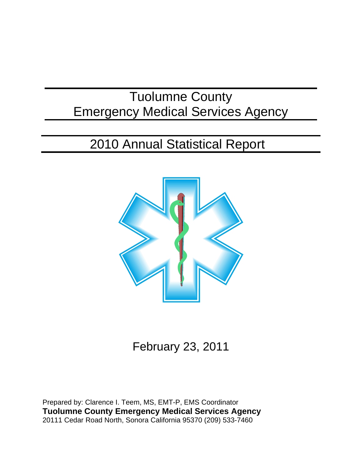# Tuolumne County Emergency Medical Services Agency

# 2010 Annual Statistical Report



February 23, 2011

Prepared by: Clarence I. Teem, MS, EMT-P, EMS Coordinator **Tuolumne County Emergency Medical Services Agency** 20111 Cedar Road North, Sonora California 95370 (209) 533-7460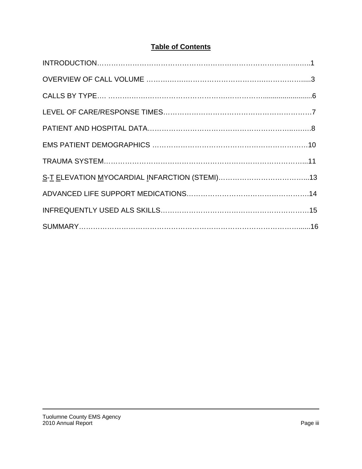# **Table of Contents**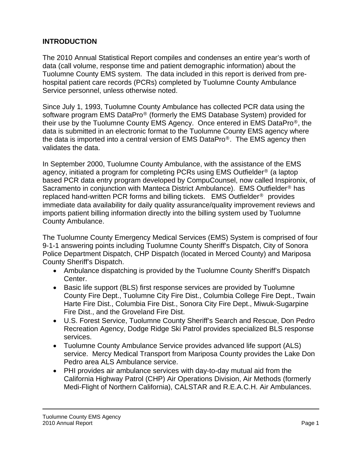## **INTRODUCTION**

The 2010 Annual Statistical Report compiles and condenses an entire year's worth of data (call volume, response time and patient demographic information) about the Tuolumne County EMS system. The data included in this report is derived from prehospital patient care records (PCRs) completed by Tuolumne County Ambulance Service personnel, unless otherwise noted.

Since July 1, 1993, Tuolumne County Ambulance has collected PCR data using the software program EMS DataPro® (formerly the EMS Database System) provided for their use by the Tuolumne County EMS Agency. Once entered in EMS DataPro®, the data is submitted in an electronic format to the Tuolumne County EMS agency where the data is imported into a central version of EMS DataPro<sup>®</sup>. The EMS agency then validates the data.

In September 2000, Tuolumne County Ambulance, with the assistance of the EMS agency, initiated a program for completing PCRs using EMS Outfielder® (a laptop based PCR data entry program developed by CompuCounsel, now called Inspironix, of Sacramento in conjunction with Manteca District Ambulance). EMS Outfielder® has replaced hand-written PCR forms and billing tickets. EMS Outfielder® provides immediate data availability for daily quality assurance/quality improvement reviews and imports patient billing information directly into the billing system used by Tuolumne County Ambulance.

The Tuolumne County Emergency Medical Services (EMS) System is comprised of four 9-1-1 answering points including Tuolumne County Sheriff's Dispatch, City of Sonora Police Department Dispatch, CHP Dispatch (located in Merced County) and Mariposa County Sheriff's Dispatch.

- Ambulance dispatching is provided by the Tuolumne County Sheriff's Dispatch Center.
- Basic life support (BLS) first response services are provided by Tuolumne County Fire Dept., Tuolumne City Fire Dist., Columbia College Fire Dept., Twain Harte Fire Dist., Columbia Fire Dist., Sonora City Fire Dept., Miwuk-Sugarpine Fire Dist., and the Groveland Fire Dist.
- U.S. Forest Service, Tuolumne County Sheriff's Search and Rescue, Don Pedro Recreation Agency, Dodge Ridge Ski Patrol provides specialized BLS response services.
- Tuolumne County Ambulance Service provides advanced life support (ALS) service. Mercy Medical Transport from Mariposa County provides the Lake Don Pedro area ALS Ambulance service.
- PHI provides air ambulance services with day-to-day mutual aid from the California Highway Patrol (CHP) Air Operations Division, Air Methods (formerly Medi-Flight of Northern California), CALSTAR and R.E.A.C.H. Air Ambulances.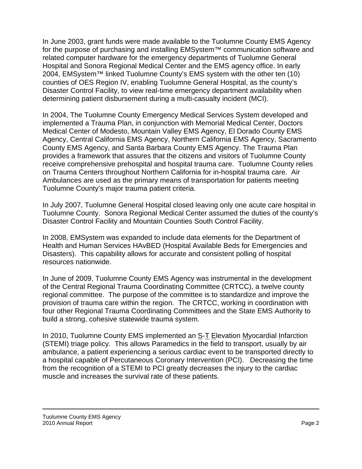In June 2003, grant funds were made available to the Tuolumne County EMS Agency for the purpose of purchasing and installing EMSystem™ communication software and related computer hardware for the emergency departments of Tuolumne General Hospital and Sonora Regional Medical Center and the EMS agency office. In early 2004, EMSystem™ linked Tuolumne County's EMS system with the other ten (10) counties of OES Region IV, enabling Tuolumne General Hospital, as the county's Disaster Control Facility, to view real-time emergency department availability when determining patient disbursement during a multi-casualty incident (MCI).

In 2004, The Tuolumne County Emergency Medical Services System developed and implemented a Trauma Plan, in conjunction with Memorial Medical Center, Doctors Medical Center of Modesto, Mountain Valley EMS Agency, El Dorado County EMS Agency, Central California EMS Agency, Northern California EMS Agency, Sacramento County EMS Agency, and Santa Barbara County EMS Agency. The Trauma Plan provides a framework that assures that the citizens and visitors of Tuolumne County receive comprehensive prehospital and hospital trauma care. Tuolumne County relies on Trauma Centers throughout Northern California for in-hospital trauma care. Air Ambulances are used as the primary means of transportation for patients meeting Tuolumne County's major trauma patient criteria.

In July 2007, Tuolumne General Hospital closed leaving only one acute care hospital in Tuolumne County. Sonora Regional Medical Center assumed the duties of the county's Disaster Control Facility and Mountain Counties South Control Facility.

In 2008, EMSystem was expanded to include data elements for the Department of Health and Human Services HAvBED (Hospital Available Beds for Emergencies and Disasters). This capability allows for accurate and consistent polling of hospital resources nationwide.

In June of 2009, Tuolumne County EMS Agency was instrumental in the development of the Central Regional Trauma Coordinating Committee (CRTCC), a twelve county regional committee. The purpose of the committee is to standardize and improve the provision of trauma care within the region. The CRTCC, working in coordination with four other Regional Trauma Coordinating Committees and the State EMS Authority to build a strong, cohesive statewide trauma system.

In 2010, Tuolumne County EMS implemented an S-T Elevation Myocardial Infarction (STEMI) triage policy. This allows Paramedics in the field to transport, usually by air ambulance, a patient experiencing a serious cardiac event to be transported directly to a hospital capable of Percutaneous Coronary Intervention (PCI). Decreasing the time from the recognition of a STEMI to PCI greatly decreases the injury to the cardiac muscle and increases the survival rate of these patients.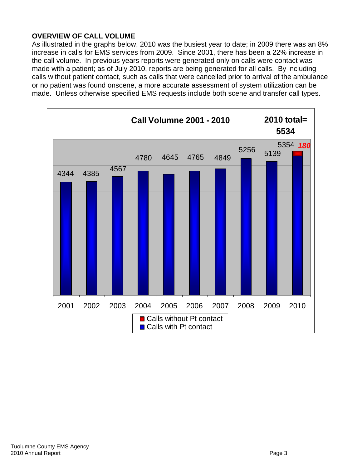# **OVERVIEW OF CALL VOLUME**

As illustrated in the graphs below, 2010 was the busiest year to date; in 2009 there was an 8% increase in calls for EMS services from 2009. Since 2001, there has been a 22% increase in the call volume. In previous years reports were generated only on calls were contact was made with a patient; as of July 2010, reports are being generated for all calls. By including calls without patient contact, such as calls that were cancelled prior to arrival of the ambulance or no patient was found onscene, a more accurate assessment of system utilization can be made. Unless otherwise specified EMS requests include both scene and transfer call types.

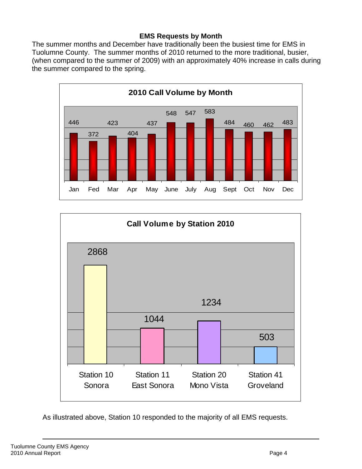## **EMS Requests by Month**

The summer months and December have traditionally been the busiest time for EMS in Tuolumne County. The summer months of 2010 returned to the more traditional, busier, (when compared to the summer of 2009) with an approximately 40% increase in calls during the summer compared to the spring.





As illustrated above, Station 10 responded to the majority of all EMS requests.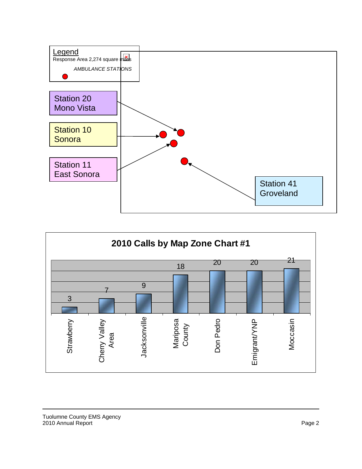

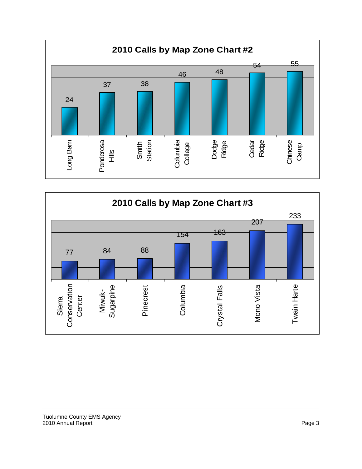

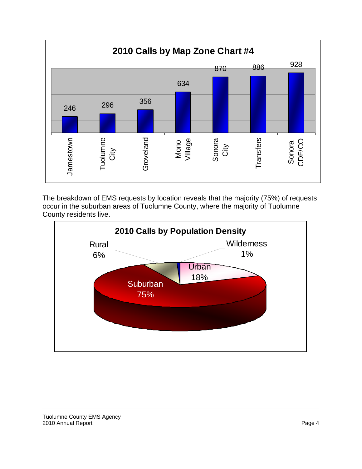

The breakdown of EMS requests by location reveals that the majority (75%) of requests occur in the suburban areas of Tuolumne County, where the majority of Tuolumne County residents live.

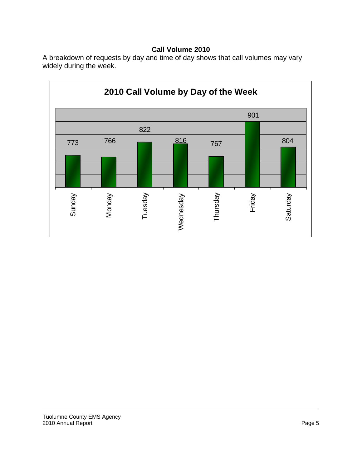#### **Call Volume 2010**

A breakdown of requests by day and time of day shows that call volumes may vary widely during the week.

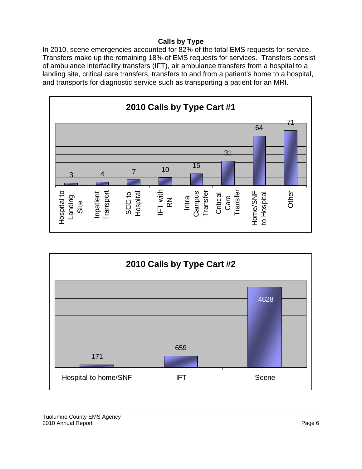# **Calls by Type**

In 2010, scene emergencies accounted for 82% of the total EMS requests for service. Transfers make up the remaining 18% of EMS requests for services. Transfers consist of ambulance interfacility transfers (IFT), air ambulance transfers from a hospital to a landing site, critical care transfers, transfers to and from a patient's home to a hospital, and transports for diagnostic service such as transporting a patient for an MRI.



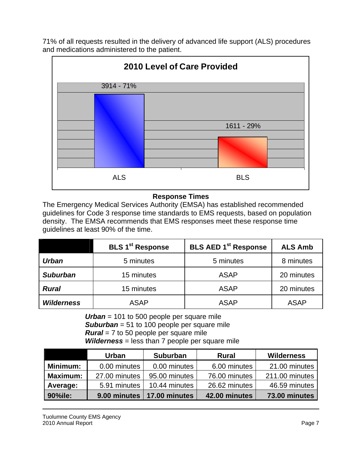71% of all requests resulted in the delivery of advanced life support (ALS) procedures and medications administered to the patient.



#### **Response Times**

The Emergency Medical Services Authority (EMSA) has established recommended guidelines for Code 3 response time standards to EMS requests, based on population density. The EMSA recommends that EMS responses meet these response time guidelines at least 90% of the time.

|                   | <b>BLS 1<sup>st</sup> Response</b> | <b>BLS AED 1st Response</b> | <b>ALS Amb</b> |  |
|-------------------|------------------------------------|-----------------------------|----------------|--|
| <b>Urban</b>      | 5 minutes                          | 5 minutes                   | 8 minutes      |  |
| <b>Suburban</b>   | 15 minutes                         | <b>ASAP</b>                 | 20 minutes     |  |
| <b>Rural</b>      | 15 minutes                         | <b>ASAP</b>                 | 20 minutes     |  |
| <b>Wilderness</b> | <b>ASAP</b>                        | <b>ASAP</b>                 | <b>ASAP</b>    |  |

*Urban* = 101 to 500 people per square mile *Suburban* = 51 to 100 people per square mile *Rural* = 7 to 50 people per square mile *Wilderness* = less than 7 people per square mile

|                                 | <b>Urban</b>  | <b>Suburban</b>              | <b>Rural</b>  | <b>Wilderness</b> |
|---------------------------------|---------------|------------------------------|---------------|-------------------|
| 0.00 minutes<br><b>Minimum:</b> |               | 0.00 minutes                 | 6.00 minutes  | 21.00 minutes     |
| <b>Maximum:</b>                 | 27.00 minutes | 95.00 minutes                | 76.00 minutes | 211.00 minutes    |
| Average:<br>5.91 minutes        |               | 10.44 minutes                | 26.62 minutes | 46.59 minutes     |
| 90%ile:                         |               | 9.00 minutes   17.00 minutes | 42.00 minutes | 73.00 minutes     |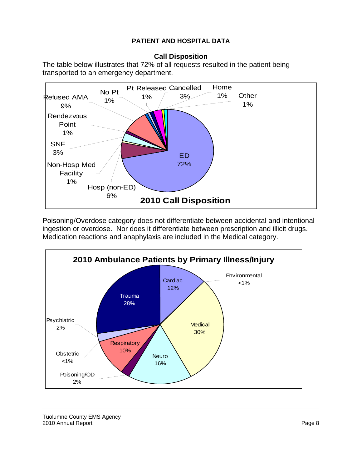#### **PATIENT AND HOSPITAL DATA**

#### **Call Disposition**

The table below illustrates that 72% of all requests resulted in the patient being transported to an emergency department.



Poisoning/Overdose category does not differentiate between accidental and intentional ingestion or overdose. Nor does it differentiate between prescription and illicit drugs. Medication reactions and anaphylaxis are included in the Medical category.

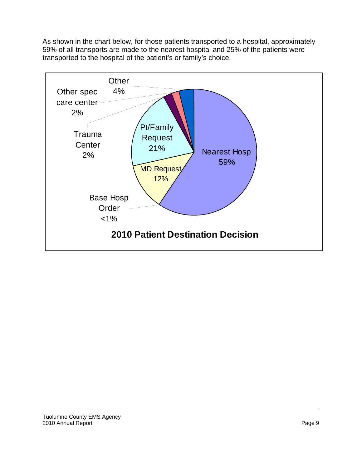As shown in the chart below, for those patients transported to a hospital, approximately 59% of all transports are made to the nearest hospital and 25% of the patients were transported to the hospital of the patient's or family's choice.

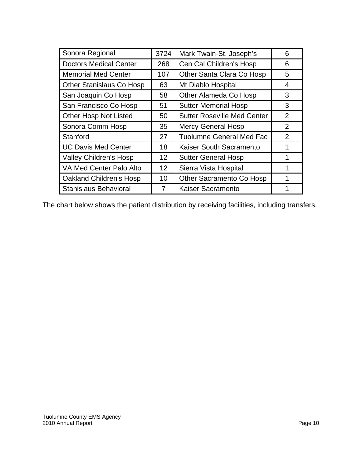| Sonora Regional                 | 3724 | Mark Twain-St. Joseph's            | 6              |
|---------------------------------|------|------------------------------------|----------------|
| <b>Doctors Medical Center</b>   | 268  | Cen Cal Children's Hosp            | 6              |
| <b>Memorial Med Center</b>      | 107  | Other Santa Clara Co Hosp          | 5              |
| <b>Other Stanislaus Co Hosp</b> | 63   | Mt Diablo Hospital                 | 4              |
| San Joaquin Co Hosp             | 58   | Other Alameda Co Hosp              | 3              |
| San Francisco Co Hosp           | 51   | <b>Sutter Memorial Hosp</b>        | 3              |
| <b>Other Hosp Not Listed</b>    | 50   | <b>Sutter Roseville Med Center</b> | $\overline{2}$ |
| Sonora Comm Hosp                | 35   | <b>Mercy General Hosp</b>          | 2              |
| Stanford                        | 27   | <b>Tuolumne General Med Fac</b>    | 2              |
| <b>UC Davis Med Center</b>      | 18   | Kaiser South Sacramento            |                |
| <b>Valley Children's Hosp</b>   | 12   | <b>Sutter General Hosp</b>         |                |
| VA Med Center Palo Alto         | 12   | Sierra Vista Hospital              |                |
| <b>Oakland Children's Hosp</b>  | 10   | Other Sacramento Co Hosp           |                |
| <b>Stanislaus Behavioral</b>    |      | <b>Kaiser Sacramento</b>           |                |

The chart below shows the patient distribution by receiving facilities, including transfers.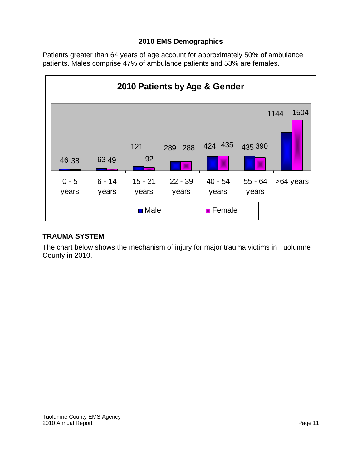# **2010 EMS Demographics**

Patients greater than 64 years of age account for approximately 50% of ambulance patients. Males comprise 47% of ambulance patients and 53% are females.



#### **TRAUMA SYSTEM**

The chart below shows the mechanism of injury for major trauma victims in Tuolumne County in 2010.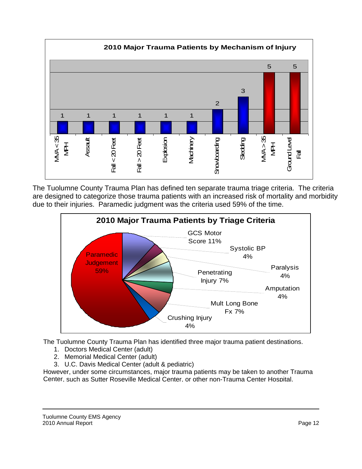

The Tuolumne County Trauma Plan has defined ten separate trauma triage criteria. The criteria are designed to categorize those trauma patients with an increased risk of mortality and morbidity due to their injuries. Paramedic judgment was the criteria used 59% of the time.



The Tuolumne County Trauma Plan has identified three major trauma patient destinations.

- 1. Doctors Medical Center (adult)
- 2. Memorial Medical Center (adult)
- 3. U.C. Davis Medical Center (adult & pediatric)

However, under some circumstances, major trauma patients may be taken to another Trauma Center, such as Sutter Roseville Medical Center, or other non-Trauma Center Hospital.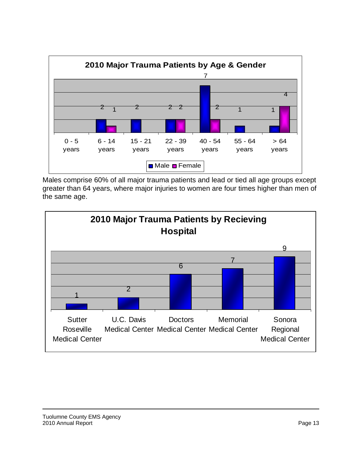

Males comprise 60% of all major trauma patients and lead or tied all age groups except greater than 64 years, where major injuries to women are four times higher than men of the same age.

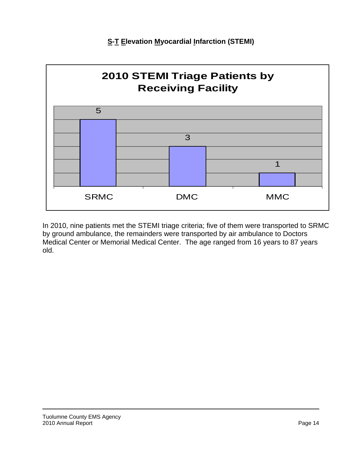

In 2010, nine patients met the STEMI triage criteria; five of them were transported to SRMC by ground ambulance, the remainders were transported by air ambulance to Doctors Medical Center or Memorial Medical Center. The age ranged from 16 years to 87 years old.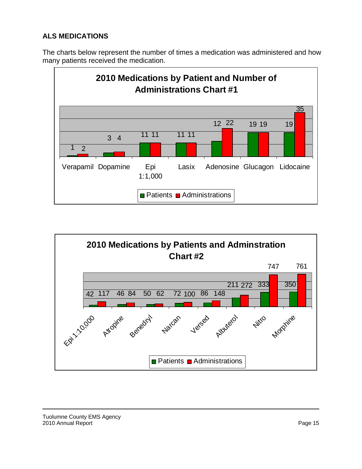# **ALS MEDICATIONS**

The charts below represent the number of times a medication was administered and how many patients received the medication.



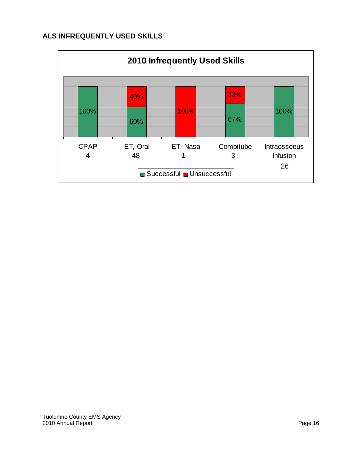#### **ALS INFREQUENTLY USED SKILLS**